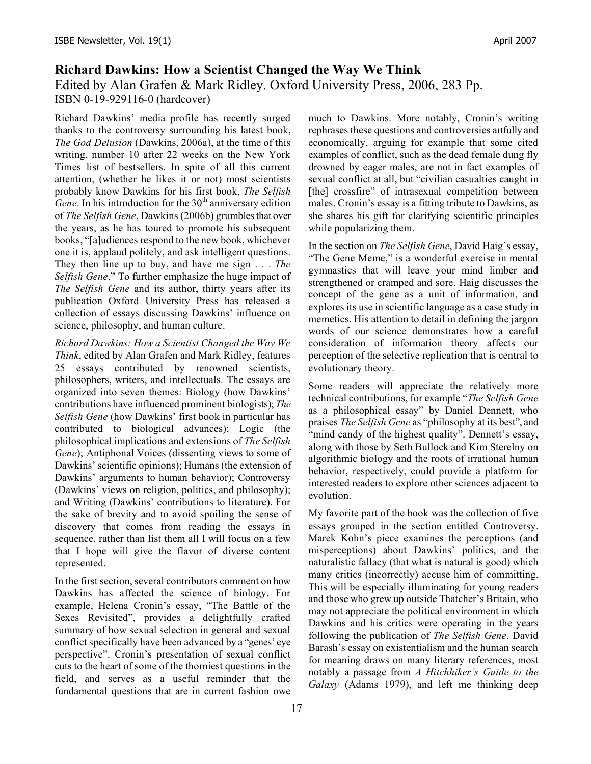## **Richard Dawkins: How a Scientist Changed the Way We Think**

Edited by Alan Grafen & Mark Ridley. Oxford University Press, 2006, 283 Pp. ISBN 0-19-929116-0 (hardcover)

Richard Dawkins' media profile has recently surged thanks to the controversy surrounding his latest book, *The God Delusion* (Dawkins, 2006a), at the time of this writing, number 10 after 22 weeks on the New York Times list of bestsellers. In spite of all this current attention, (whether he likes it or not) most scientists probably know Dawkins for his first book, *The Selfish*  $\overline{Gene}$ . In his introduction for the 30<sup>th</sup> anniversary edition of *The Selfish Gene*, Dawkins (2006b) grumbles that over the years, as he has toured to promote his subsequent books, "[a]udiences respond to the new book, whichever one it is, applaud politely, and ask intelligent questions. They then line up to buy, and have me sign . . . *The Selfish Gene*." To further emphasize the huge impact of *The Selfish Gene* and its author, thirty years after its publication Oxford University Press has released a collection of essays discussing Dawkins' influence on science, philosophy, and human culture.

*Richard Dawkins: How a Scientist Changed the Way We Think*, edited by Alan Grafen and Mark Ridley, features 25 essays contributed by renowned scientists, philosophers, writers, and intellectuals. The essays are organized into seven themes: Biology (how Dawkins' contributions have influenced prominent biologists); *The Selfish Gene* (how Dawkins' first book in particular has contributed to biological advances); Logic (the philosophical implications and extensions of *The Selfish Gene*); Antiphonal Voices (dissenting views to some of Dawkins' scientific opinions); Humans (the extension of Dawkins' arguments to human behavior); Controversy (Dawkins' views on religion, politics, and philosophy); and Writing (Dawkins' contributions to literature). For the sake of brevity and to avoid spoiling the sense of discovery that comes from reading the essays in sequence, rather than list them all I will focus on a few that I hope will give the flavor of diverse content represented.

In the first section, several contributors comment on how Dawkins has affected the science of biology. For example, Helena Cronin's essay, "The Battle of the Sexes Revisited", provides a delightfully crafted summary of how sexual selection in general and sexual conflict specifically have been advanced by a "genes' eye perspective". Cronin's presentation of sexual conflict cuts to the heart of some of the thorniest questions in the field, and serves as a useful reminder that the fundamental questions that are in current fashion owe much to Dawkins. More notably, Cronin's writing rephrases these questions and controversies artfully and economically, arguing for example that some cited examples of conflict, such as the dead female dung fly drowned by eager males, are not in fact examples of sexual conflict at all, but "civilian casualties caught in [the] crossfire" of intrasexual competition between males. Cronin's essay is a fitting tribute to Dawkins, as she shares his gift for clarifying scientific principles while popularizing them.

In the section on *The Selfish Gene*, David Haig's essay, "The Gene Meme," is a wonderful exercise in mental gymnastics that will leave your mind limber and strengthened or cramped and sore. Haig discusses the concept of the gene as a unit of information, and explores its use in scientific language as a case study in memetics. His attention to detail in defining the jargon words of our science demonstrates how a careful consideration of information theory affects our perception of the selective replication that is central to evolutionary theory.

Some readers will appreciate the relatively more technical contributions, for example "*The Selfish Gene* as a philosophical essay" by Daniel Dennett, who praises *The Selfish Gene* as "philosophy at its best", and "mind candy of the highest quality". Dennett's essay, along with those by Seth Bullock and Kim Sterelny on algorithmic biology and the roots of irrational human behavior, respectively, could provide a platform for interested readers to explore other sciences adjacent to evolution.

My favorite part of the book was the collection of five essays grouped in the section entitled Controversy. Marek Kohn's piece examines the perceptions (and misperceptions) about Dawkins' politics, and the naturalistic fallacy (that what is natural is good) which many critics (incorrectly) accuse him of committing. This will be especially illuminating for young readers and those who grew up outside Thatcher's Britain, who may not appreciate the political environment in which Dawkins and his critics were operating in the years following the publication of *The Selfish Gene*. David Barash's essay on existentialism and the human search for meaning draws on many literary references, most notably a passage from *A Hitchhiker's Guide to the Galaxy* (Adams 1979), and left me thinking deep